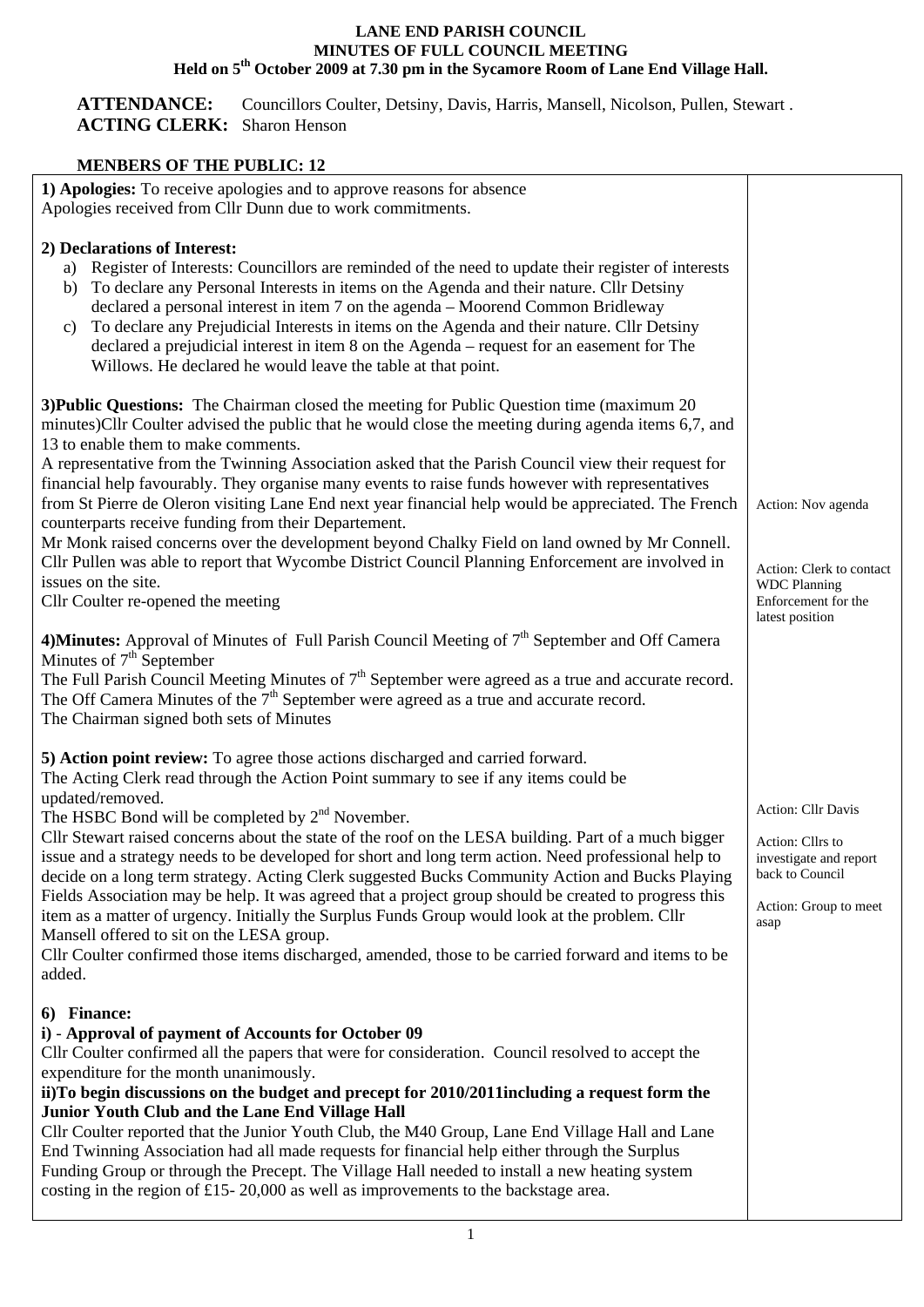## **LANE END PARISH COUNCIL MINUTES OF FULL COUNCIL MEETING**  Held on 5<sup>th</sup> October 2009 at 7.30 pm in the Sycamore Room of Lane End Village Hall.

**ATTENDANCE:** Councillors Coulter, Detsiny, Davis, Harris, Mansell, Nicolson, Pullen, Stewart . **ACTING CLERK:** Sharon Henson

## **MENBERS OF THE PUBLIC: 12**

| метреко от тие і свек: 12                                                                                                                                                                                                                                                                                                                                                                                                                                                                                                                                                                                                                                                                                                                                                                                                                                                                                                                             |                                                                                                                      |
|-------------------------------------------------------------------------------------------------------------------------------------------------------------------------------------------------------------------------------------------------------------------------------------------------------------------------------------------------------------------------------------------------------------------------------------------------------------------------------------------------------------------------------------------------------------------------------------------------------------------------------------------------------------------------------------------------------------------------------------------------------------------------------------------------------------------------------------------------------------------------------------------------------------------------------------------------------|----------------------------------------------------------------------------------------------------------------------|
| 1) Apologies: To receive apologies and to approve reasons for absence<br>Apologies received from Cllr Dunn due to work commitments.                                                                                                                                                                                                                                                                                                                                                                                                                                                                                                                                                                                                                                                                                                                                                                                                                   |                                                                                                                      |
| 2) Declarations of Interest:<br>Register of Interests: Councillors are reminded of the need to update their register of interests<br>a)<br>To declare any Personal Interests in items on the Agenda and their nature. Cllr Detsiny<br>b)<br>declared a personal interest in item 7 on the agenda - Moorend Common Bridleway<br>To declare any Prejudicial Interests in items on the Agenda and their nature. Cllr Detsiny<br>c)<br>declared a prejudicial interest in item 8 on the Agenda – request for an easement for The<br>Willows. He declared he would leave the table at that point.                                                                                                                                                                                                                                                                                                                                                          |                                                                                                                      |
| 3) Public Questions: The Chairman closed the meeting for Public Question time (maximum 20)<br>minutes)Cllr Coulter advised the public that he would close the meeting during agenda items 6,7, and<br>13 to enable them to make comments.<br>A representative from the Twinning Association asked that the Parish Council view their request for<br>financial help favourably. They organise many events to raise funds however with representatives<br>from St Pierre de Oleron visiting Lane End next year financial help would be appreciated. The French<br>counterparts receive funding from their Departement.<br>Mr Monk raised concerns over the development beyond Chalky Field on land owned by Mr Connell.<br>Cllr Pullen was able to report that Wycombe District Council Planning Enforcement are involved in<br>issues on the site.<br>Cllr Coulter re-opened the meeting                                                               | Action: Nov agenda<br>Action: Clerk to contact<br><b>WDC</b> Planning<br>Enforcement for the<br>latest position      |
| 4) Minutes: Approval of Minutes of Full Parish Council Meeting of 7 <sup>th</sup> September and Off Camera<br>Minutes of $7th$ September<br>The Full Parish Council Meeting Minutes of $7th$ September were agreed as a true and accurate record.<br>The Off Camera Minutes of the $7th$ September were agreed as a true and accurate record.<br>The Chairman signed both sets of Minutes                                                                                                                                                                                                                                                                                                                                                                                                                                                                                                                                                             |                                                                                                                      |
| 5) Action point review: To agree those actions discharged and carried forward.<br>The Acting Clerk read through the Action Point summary to see if any items could be<br>updated/removed.<br>The HSBC Bond will be completed by 2 <sup>nd</sup> November.<br>Cllr Stewart raised concerns about the state of the roof on the LESA building. Part of a much bigger<br>issue and a strategy needs to be developed for short and long term action. Need professional help to<br>decide on a long term strategy. Acting Clerk suggested Bucks Community Action and Bucks Playing<br>Fields Association may be help. It was agreed that a project group should be created to progress this<br>item as a matter of urgency. Initially the Surplus Funds Group would look at the problem. Cllr<br>Mansell offered to sit on the LESA group.<br>Cllr Coulter confirmed those items discharged, amended, those to be carried forward and items to be<br>added. | Action: Cllr Davis<br>Action: Cllrs to<br>investigate and report<br>back to Council<br>Action: Group to meet<br>asap |
| 6) Finance:<br>i) - Approval of payment of Accounts for October 09<br>Cllr Coulter confirmed all the papers that were for consideration. Council resolved to accept the<br>expenditure for the month unanimously.<br>ii)To begin discussions on the budget and precept for 2010/2011 including a request form the<br>Junior Youth Club and the Lane End Village Hall<br>Cllr Coulter reported that the Junior Youth Club, the M40 Group, Lane End Village Hall and Lane<br>End Twinning Association had all made requests for financial help either through the Surplus<br>Funding Group or through the Precept. The Village Hall needed to install a new heating system<br>costing in the region of £15-20,000 as well as improvements to the backstage area.                                                                                                                                                                                        |                                                                                                                      |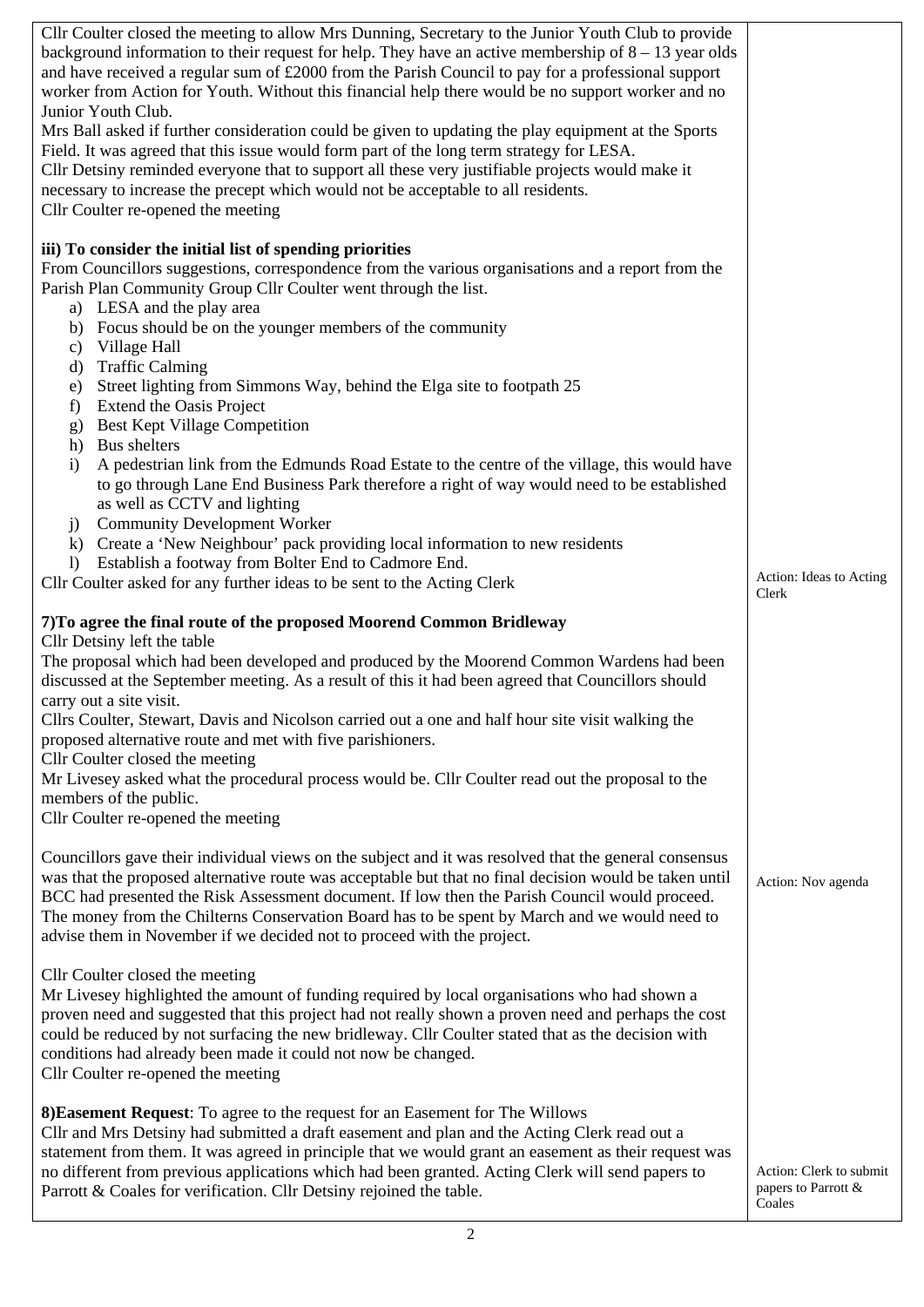| Cllr Coulter closed the meeting to allow Mrs Dunning, Secretary to the Junior Youth Club to provide          |                                                |
|--------------------------------------------------------------------------------------------------------------|------------------------------------------------|
| background information to their request for help. They have an active membership of $8 - 13$ year olds       |                                                |
| and have received a regular sum of £2000 from the Parish Council to pay for a professional support           |                                                |
| worker from Action for Youth. Without this financial help there would be no support worker and no            |                                                |
| Junior Youth Club.                                                                                           |                                                |
|                                                                                                              |                                                |
| Mrs Ball asked if further consideration could be given to updating the play equipment at the Sports          |                                                |
| Field. It was agreed that this issue would form part of the long term strategy for LESA.                     |                                                |
| Cllr Detsiny reminded everyone that to support all these very justifiable projects would make it             |                                                |
| necessary to increase the precept which would not be acceptable to all residents.                            |                                                |
| Cllr Coulter re-opened the meeting                                                                           |                                                |
|                                                                                                              |                                                |
| iii) To consider the initial list of spending priorities                                                     |                                                |
| From Councillors suggestions, correspondence from the various organisations and a report from the            |                                                |
| Parish Plan Community Group Cllr Coulter went through the list.                                              |                                                |
| a) LESA and the play area                                                                                    |                                                |
| b) Focus should be on the younger members of the community                                                   |                                                |
| c) Village Hall                                                                                              |                                                |
| <b>Traffic Calming</b><br>$\mathbf{d}$                                                                       |                                                |
| Street lighting from Simmons Way, behind the Elga site to footpath 25<br>e)                                  |                                                |
| Extend the Oasis Project<br>f                                                                                |                                                |
| g) Best Kept Village Competition                                                                             |                                                |
|                                                                                                              |                                                |
| h) Bus shelters                                                                                              |                                                |
| A pedestrian link from the Edmunds Road Estate to the centre of the village, this would have<br>$\mathbf{i}$ |                                                |
| to go through Lane End Business Park therefore a right of way would need to be established                   |                                                |
| as well as CCTV and lighting                                                                                 |                                                |
| <b>Community Development Worker</b><br>j)                                                                    |                                                |
| k) Create a 'New Neighbour' pack providing local information to new residents                                |                                                |
| Establish a footway from Bolter End to Cadmore End.<br>$\left( \right)$                                      |                                                |
| Cllr Coulter asked for any further ideas to be sent to the Acting Clerk                                      | Action: Ideas to Acting                        |
|                                                                                                              | Clerk                                          |
| 7) To agree the final route of the proposed Moorend Common Bridleway                                         |                                                |
| Cllr Detsiny left the table                                                                                  |                                                |
| The proposal which had been developed and produced by the Moorend Common Wardens had been                    |                                                |
| discussed at the September meeting. As a result of this it had been agreed that Councillors should           |                                                |
| carry out a site visit.                                                                                      |                                                |
| Cllrs Coulter, Stewart, Davis and Nicolson carried out a one and half hour site visit walking the            |                                                |
| proposed alternative route and met with five parishioners.                                                   |                                                |
|                                                                                                              |                                                |
| Cllr Coulter closed the meeting                                                                              |                                                |
| Mr Livesey asked what the procedural process would be. Cllr Coulter read out the proposal to the             |                                                |
| members of the public.                                                                                       |                                                |
| Cllr Coulter re-opened the meeting                                                                           |                                                |
|                                                                                                              |                                                |
| Councillors gave their individual views on the subject and it was resolved that the general consensus        |                                                |
| was that the proposed alternative route was acceptable but that no final decision would be taken until       | Action: Nov agenda                             |
| BCC had presented the Risk Assessment document. If low then the Parish Council would proceed.                |                                                |
| The money from the Chilterns Conservation Board has to be spent by March and we would need to                |                                                |
| advise them in November if we decided not to proceed with the project.                                       |                                                |
|                                                                                                              |                                                |
| Cllr Coulter closed the meeting                                                                              |                                                |
| Mr Livesey highlighted the amount of funding required by local organisations who had shown a                 |                                                |
| proven need and suggested that this project had not really shown a proven need and perhaps the cost          |                                                |
| could be reduced by not surfacing the new bridleway. Cllr Coulter stated that as the decision with           |                                                |
| conditions had already been made it could not now be changed.                                                |                                                |
| Cllr Coulter re-opened the meeting                                                                           |                                                |
|                                                                                                              |                                                |
| 8) Easement Request: To agree to the request for an Easement for The Willows                                 |                                                |
| Cllr and Mrs Detsiny had submitted a draft easement and plan and the Acting Clerk read out a                 |                                                |
| statement from them. It was agreed in principle that we would grant an easement as their request was         |                                                |
|                                                                                                              |                                                |
| no different from previous applications which had been granted. Acting Clerk will send papers to             | Action: Clerk to submit<br>papers to Parrott & |
| Parrott & Coales for verification. Cllr Detsiny rejoined the table.                                          | Coales                                         |
|                                                                                                              |                                                |